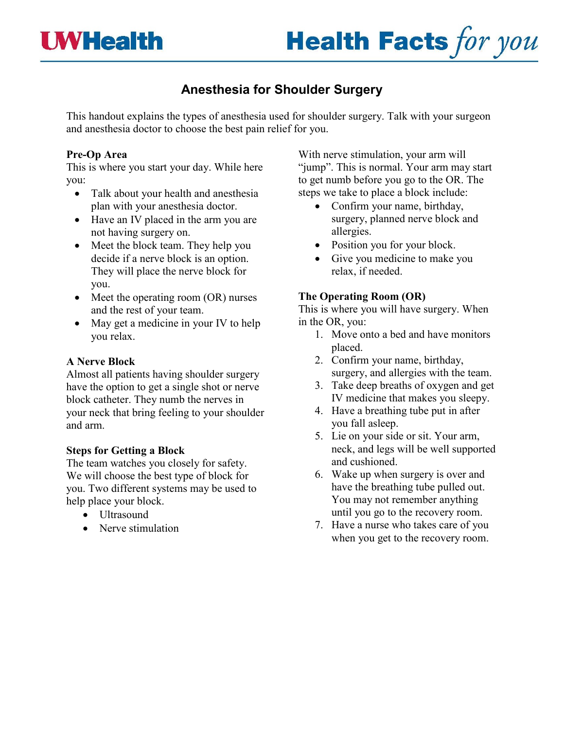

# **Anesthesia for Shoulder Surgery**

This handout explains the types of anesthesia used for shoulder surgery. Talk with your surgeon and anesthesia doctor to choose the best pain relief for you.

#### **Pre-Op Area**

This is where you start your day. While here you:

- Talk about your health and anesthesia plan with your anesthesia doctor.
- Have an IV placed in the arm you are not having surgery on.
- Meet the block team. They help you decide if a nerve block is an option. They will place the nerve block for you.
- Meet the operating room (OR) nurses and the rest of your team.
- May get a medicine in your IV to help you relax.

## **A Nerve Block**

Almost all patients having shoulder surgery have the option to get a single shot or nerve block catheter. They numb the nerves in your neck that bring feeling to your shoulder and arm.

### **Steps for Getting a Block**

The team watches you closely for safety. We will choose the best type of block for you. Two different systems may be used to help place your block.

- Ultrasound
- Nerve stimulation

With nerve stimulation, your arm will "jump". This is normal. Your arm may start to get numb before you go to the OR. The steps we take to place a block include:

- Confirm your name, birthday, surgery, planned nerve block and allergies.
- Position you for your block.
- Give you medicine to make you relax, if needed.

### **The Operating Room (OR)**

This is where you will have surgery. When in the OR, you:

- 1. Move onto a bed and have monitors placed.
- 2. Confirm your name, birthday, surgery, and allergies with the team.
- 3. Take deep breaths of oxygen and get IV medicine that makes you sleepy.
- 4. Have a breathing tube put in after you fall asleep.
- 5. Lie on your side or sit. Your arm, neck, and legs will be well supported and cushioned.
- 6. Wake up when surgery is over and have the breathing tube pulled out. You may not remember anything until you go to the recovery room.
- 7. Have a nurse who takes care of you when you get to the recovery room.